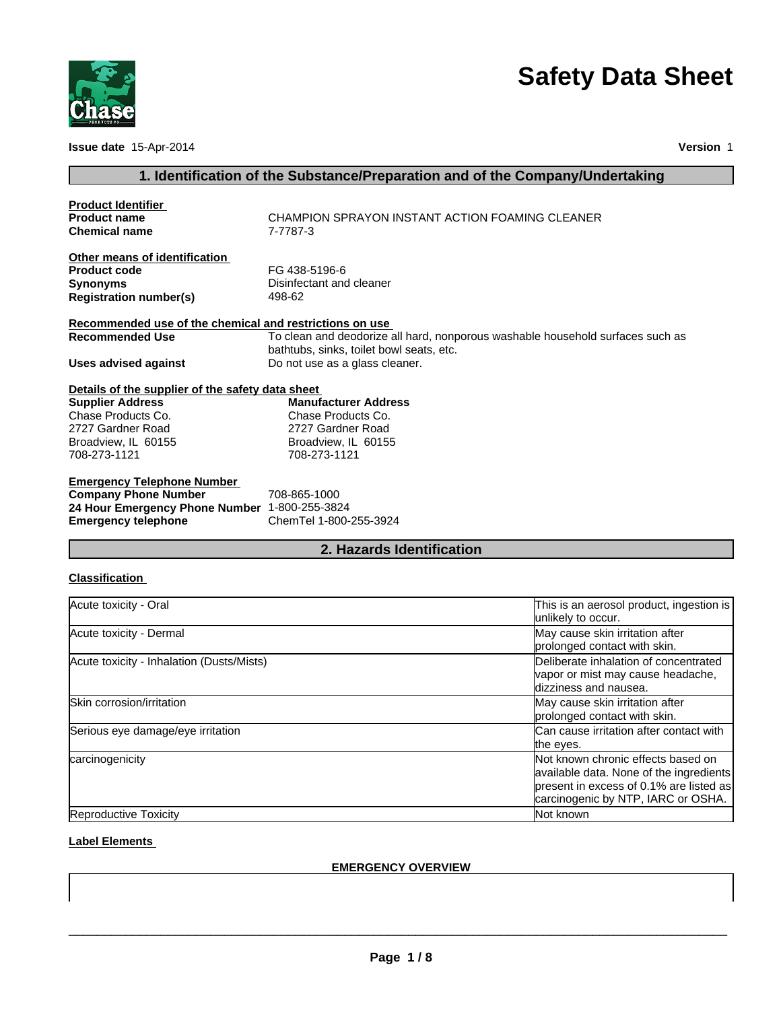

**Issue date** 15-Apr-2014 **Version** 1

# **Safety Data Sheet**

# **1. Identification of the Substance/Preparation and of the Company/Undertaking**

| <b>Product Identifier</b>                               |                                                                                                                            |
|---------------------------------------------------------|----------------------------------------------------------------------------------------------------------------------------|
| <b>Product name</b>                                     | CHAMPION SPRAYON INSTANT ACTION FOAMING CLEANER                                                                            |
| <b>Chemical name</b>                                    | 7-7787-3                                                                                                                   |
| Other means of identification                           |                                                                                                                            |
| <b>Product code</b>                                     | FG 438-5196-6                                                                                                              |
| <b>Synonyms</b>                                         | Disinfectant and cleaner                                                                                                   |
| <b>Registration number(s)</b>                           | 498-62                                                                                                                     |
| Recommended use of the chemical and restrictions on use |                                                                                                                            |
| <b>Recommended Use</b>                                  | To clean and deodorize all hard, nonporous washable household surfaces such as<br>bathtubs, sinks, toilet bowl seats, etc. |
| <b>Uses advised against</b>                             | Do not use as a glass cleaner.                                                                                             |
| Details of the supplier of the safety data sheet        |                                                                                                                            |
| <b>Supplier Address</b>                                 | <b>Manufacturer Address</b>                                                                                                |
| Chase Products Co.                                      | Chase Products Co.                                                                                                         |
| 2727 Gardner Road                                       | 2727 Gardner Road                                                                                                          |
| Broadview, IL 60155                                     | Broadview, IL 60155                                                                                                        |
| 708-273-1121                                            | 708-273-1121                                                                                                               |
| <b>Emergency Telephone Number</b>                       |                                                                                                                            |
| <b>Company Phone Number</b>                             | 708-865-1000                                                                                                               |
| 24 Hour Emergency Phone Number 1-800-255-3824           |                                                                                                                            |
| <b>Emergency telephone</b>                              | ChemTel 1-800-255-3924                                                                                                     |

# **2. Hazards Identification**

# **Classification**

| Acute toxicity - Oral                     | This is an aerosol product, ingestion is<br>unlikely to occur.                                                                                                 |
|-------------------------------------------|----------------------------------------------------------------------------------------------------------------------------------------------------------------|
| Acute toxicity - Dermal                   | May cause skin irritation after<br>prolonged contact with skin.                                                                                                |
| Acute toxicity - Inhalation (Dusts/Mists) | Deliberate inhalation of concentrated<br>vapor or mist may cause headache,<br>dizziness and nausea.                                                            |
| Skin corrosion/irritation                 | May cause skin irritation after<br>prolonged contact with skin.                                                                                                |
| Serious eye damage/eye irritation         | Can cause irritation after contact with<br>the eyes.                                                                                                           |
| carcinogenicity                           | Not known chronic effects based on<br>available data. None of the ingredients<br>present in excess of 0.1% are listed as<br>carcinogenic by NTP, IARC or OSHA. |
| Reproductive Toxicity                     | Not known                                                                                                                                                      |

# **Label Elements**

#### **EMERGENCY OVERVIEW**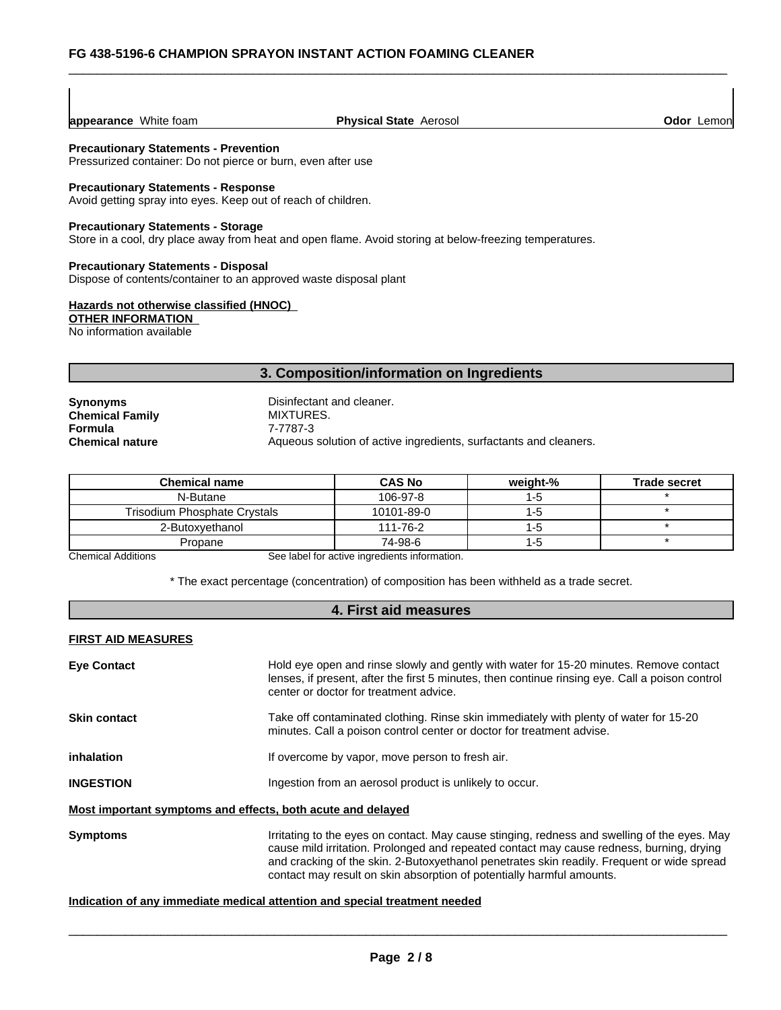| appearance White foam | <b>Physical State Aerosol</b> | <b>Odor</b> Lemon |
|-----------------------|-------------------------------|-------------------|
|-----------------------|-------------------------------|-------------------|

#### **Precautionary Statements - Prevention**

Pressurized container: Do not pierce or burn, even after use

#### **Precautionary Statements - Response**

Avoid getting spray into eyes. Keep out of reach of children.

#### **Precautionary Statements - Storage**

Store in a cool, dry place away from heat and open flame. Avoid storing at below-freezing temperatures.

#### **Precautionary Statements - Disposal**

Dispose of contents/container to an approved waste disposal plant

#### **Hazards not otherwise classified (HNOC)**

**OTHER INFORMATION** 

No information available

#### **3. Composition/information on Ingredients**

| <b>Synonyms</b>        |  |
|------------------------|--|
| <b>Chemical Family</b> |  |
| Formula                |  |
| <b>Chemical nature</b> |  |

**Disinfectant and cleaner. Chemical Family** MIXTURES. **Formula** 7-7787-3 **Chemical nature Chemical nature** Aqueous solution of active ingredients, surfactants and cleaners.

| <b>Chemical name</b>         | <b>CAS No</b> | weight-% | <b>Trade secret</b> |
|------------------------------|---------------|----------|---------------------|
| N-Butane                     | 106-97-8      | ה-1      |                     |
| Trisodium Phosphate Crystals | 10101-89-0    | ר:-1     |                     |
| 2-Butoxvethanol              | 111-76-2      | ר:-1     |                     |
| Propane                      | 74-98-6       | 1-5      |                     |

Chemical Additions See label for active ingredients information.

\* The exact percentage (concentration) of composition has been withheld as a trade secret.

#### **4. First aid measures**

#### **FIRST AID MEASURES**

| <b>Eye Contact</b>                                          | Hold eye open and rinse slowly and gently with water for 15-20 minutes. Remove contact<br>lenses, if present, after the first 5 minutes, then continue rinsing eye. Call a poison control<br>center or doctor for treatment advice.                                                                                                                             |  |  |  |
|-------------------------------------------------------------|-----------------------------------------------------------------------------------------------------------------------------------------------------------------------------------------------------------------------------------------------------------------------------------------------------------------------------------------------------------------|--|--|--|
| <b>Skin contact</b>                                         | Take off contaminated clothing. Rinse skin immediately with plenty of water for 15-20<br>minutes. Call a poison control center or doctor for treatment advise.                                                                                                                                                                                                  |  |  |  |
| inhalation                                                  | If overcome by vapor, move person to fresh air.                                                                                                                                                                                                                                                                                                                 |  |  |  |
| <b>INGESTION</b>                                            | Ingestion from an aerosol product is unlikely to occur.                                                                                                                                                                                                                                                                                                         |  |  |  |
| Most important symptoms and effects, both acute and delayed |                                                                                                                                                                                                                                                                                                                                                                 |  |  |  |
| <b>Symptoms</b>                                             | Irritating to the eyes on contact. May cause stinging, redness and swelling of the eyes. May<br>cause mild irritation. Prolonged and repeated contact may cause redness, burning, drying<br>and cracking of the skin. 2-Butoxyethanol penetrates skin readily. Frequent or wide spread<br>contact may result on skin absorption of potentially harmful amounts. |  |  |  |
|                                                             |                                                                                                                                                                                                                                                                                                                                                                 |  |  |  |

#### **Indication of any immediate medical attention and special treatment needed**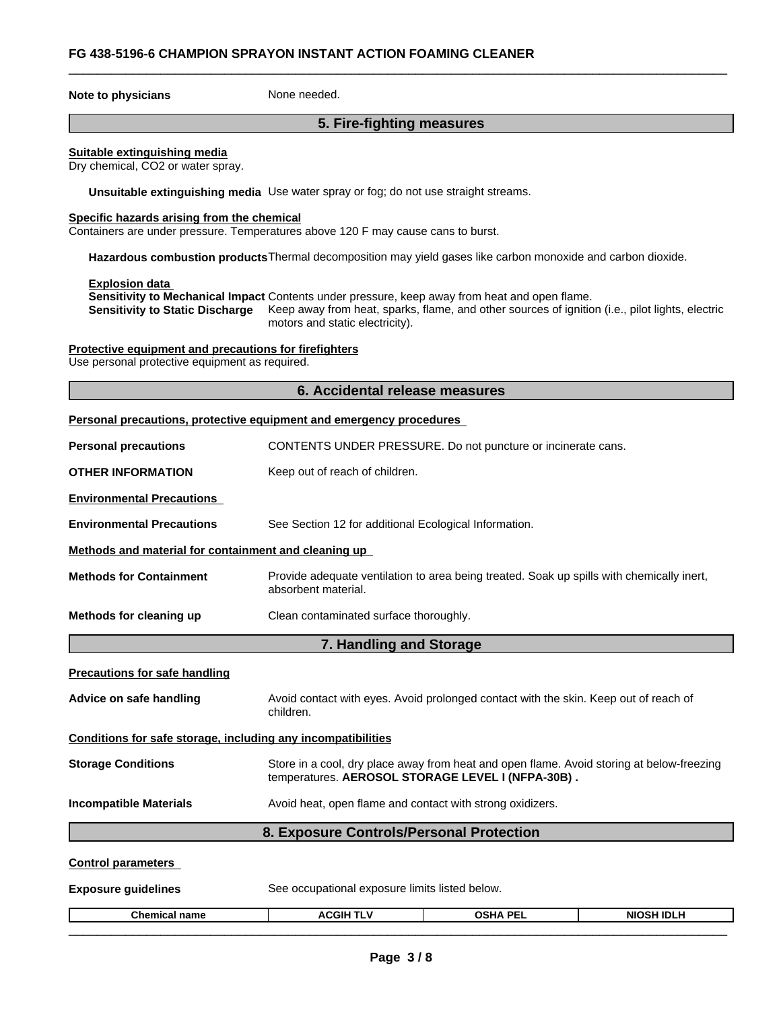## \_\_\_\_\_\_\_\_\_\_\_\_\_\_\_\_\_\_\_\_\_\_\_\_\_\_\_\_\_\_\_\_\_\_\_\_\_\_\_\_\_\_\_\_\_\_\_\_\_\_\_\_\_\_\_\_\_\_\_\_\_\_\_\_\_\_\_\_\_\_\_\_\_\_\_\_\_\_\_\_\_\_\_\_\_\_\_\_\_\_\_\_\_ **FG 438-5196-6 CHAMPION SPRAYON INSTANT ACTION FOAMING CLEANER**

**Note to physicians** None needed.

### **5. Fire-fighting measures**

#### **Suitable extinguishing media**

Dry chemical, CO2 or water spray.

**Unsuitable extinguishing media** Use water spray or fog; do not use straight streams.

#### **Specific hazards arising from the chemical**

Containers are under pressure. Temperatures above 120 F may cause cans to burst.

**Hazardous combustion products**Thermal decomposition may yield gases like carbon monoxide and carbon dioxide.

**Explosion data** 

**Sensitivity to Mechanical Impact** Contents under pressure, keep away from heat and open flame.

**Sensitivity to Static Discharge** Keep away from heat, sparks, flame, and other sources of ignition (i.e., pilot lights, electric motors and static electricity).

#### **Protective equipment and precautions for firefighters**

Use personal protective equipment as required.

#### **6. Accidental release measures**

|  |  | Personal precautions, protective equipment and emergency procedures |  |  |
|--|--|---------------------------------------------------------------------|--|--|
|  |  |                                                                     |  |  |

| <b>Personal precautions</b>                                  |                                                                                                                                                | CONTENTS UNDER PRESSURE. Do not puncture or incinerate cans.                              |                   |  |  |
|--------------------------------------------------------------|------------------------------------------------------------------------------------------------------------------------------------------------|-------------------------------------------------------------------------------------------|-------------------|--|--|
| <b>OTHER INFORMATION</b>                                     | Keep out of reach of children.                                                                                                                 |                                                                                           |                   |  |  |
| <b>Environmental Precautions</b>                             |                                                                                                                                                |                                                                                           |                   |  |  |
| <b>Environmental Precautions</b>                             | See Section 12 for additional Ecological Information.                                                                                          |                                                                                           |                   |  |  |
| Methods and material for containment and cleaning up         |                                                                                                                                                |                                                                                           |                   |  |  |
| <b>Methods for Containment</b>                               | absorbent material.                                                                                                                            | Provide adequate ventilation to area being treated. Soak up spills with chemically inert, |                   |  |  |
| Methods for cleaning up                                      | Clean contaminated surface thoroughly.                                                                                                         |                                                                                           |                   |  |  |
|                                                              | 7. Handling and Storage                                                                                                                        |                                                                                           |                   |  |  |
| <b>Precautions for safe handling</b>                         |                                                                                                                                                |                                                                                           |                   |  |  |
| Advice on safe handling                                      | Avoid contact with eyes. Avoid prolonged contact with the skin. Keep out of reach of<br>children.                                              |                                                                                           |                   |  |  |
| Conditions for safe storage, including any incompatibilities |                                                                                                                                                |                                                                                           |                   |  |  |
| <b>Storage Conditions</b>                                    | Store in a cool, dry place away from heat and open flame. Avoid storing at below-freezing<br>temperatures. AEROSOL STORAGE LEVEL I (NFPA-30B). |                                                                                           |                   |  |  |
| <b>Incompatible Materials</b>                                | Avoid heat, open flame and contact with strong oxidizers.                                                                                      |                                                                                           |                   |  |  |
|                                                              | 8. Exposure Controls/Personal Protection                                                                                                       |                                                                                           |                   |  |  |
| <b>Control parameters</b>                                    |                                                                                                                                                |                                                                                           |                   |  |  |
| <b>Exposure guidelines</b>                                   | See occupational exposure limits listed below.                                                                                                 |                                                                                           |                   |  |  |
| <b>Chemical name</b>                                         | <b>ACGIH TLV</b>                                                                                                                               | <b>OSHA PEL</b>                                                                           | <b>NIOSH IDLH</b> |  |  |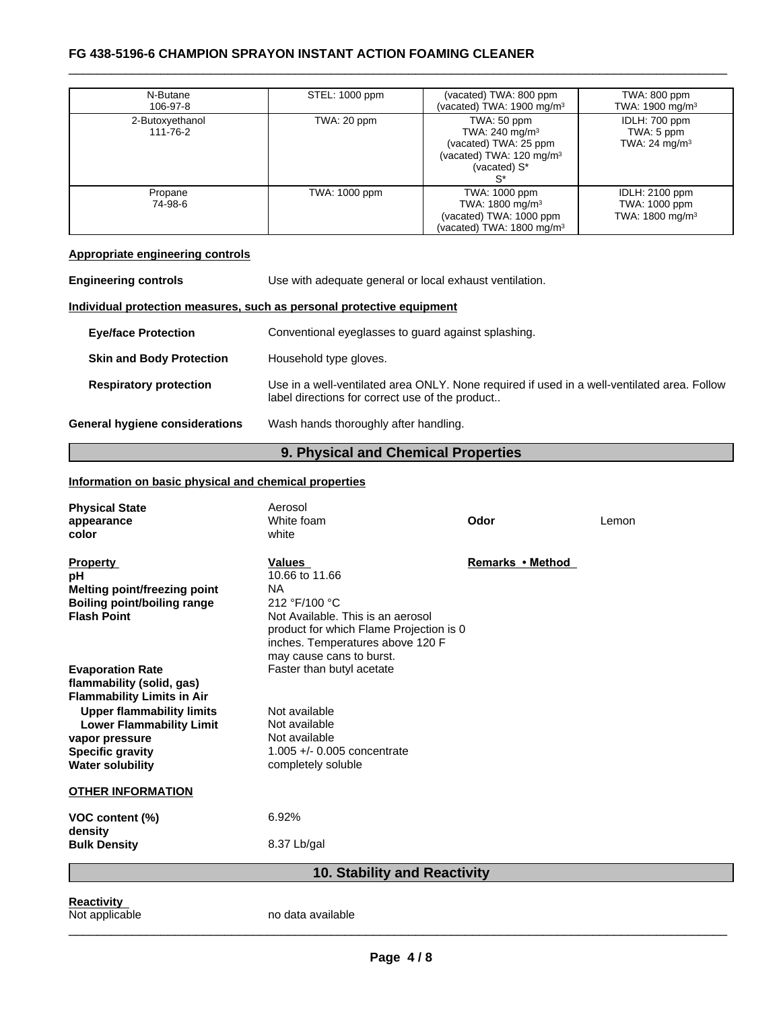# \_\_\_\_\_\_\_\_\_\_\_\_\_\_\_\_\_\_\_\_\_\_\_\_\_\_\_\_\_\_\_\_\_\_\_\_\_\_\_\_\_\_\_\_\_\_\_\_\_\_\_\_\_\_\_\_\_\_\_\_\_\_\_\_\_\_\_\_\_\_\_\_\_\_\_\_\_\_\_\_\_\_\_\_\_\_\_\_\_\_\_\_\_ **FG 438-5196-6 CHAMPION SPRAYON INSTANT ACTION FOAMING CLEANER**

| N-Butane<br>106-97-8        | STEL: 1000 ppm | (vacated) TWA: 800 ppm<br>(vacated) TWA: $1900 \text{ mg/m}^3$                                                            | TWA: 800 ppm<br>TWA: 1900 mg/m <sup>3</sup>                           |
|-----------------------------|----------------|---------------------------------------------------------------------------------------------------------------------------|-----------------------------------------------------------------------|
| 2-Butoxyethanol<br>111-76-2 | TWA: 20 ppm    | TWA: 50 ppm<br>TWA: 240 mg/m <sup>3</sup><br>(vacated) TWA: 25 ppm<br>(vacated) TWA: $120 \text{ mg/m}^3$<br>(vacated) S* | IDLH: 700 ppm<br>TWA: 5 ppm<br>TWA: 24 mg/m <sup>3</sup>              |
| Propane<br>74-98-6          | TWA: 1000 ppm  | TWA: 1000 ppm<br>TWA: 1800 mg/m <sup>3</sup><br>(vacated) TWA: 1000 ppm<br>(vacated) TWA: 1800 mg/m $3$                   | <b>IDLH: 2100 ppm</b><br>TWA: 1000 ppm<br>TWA: 1800 mg/m <sup>3</sup> |

# **Appropriate engineering controls**

| <b>Engineering controls</b>     | Use with adequate general or local exhaust ventilation.                                                                                        |
|---------------------------------|------------------------------------------------------------------------------------------------------------------------------------------------|
|                                 | Individual protection measures, such as personal protective equipment                                                                          |
| <b>Eye/face Protection</b>      | Conventional eyeglasses to guard against splashing.                                                                                            |
| <b>Skin and Body Protection</b> | Household type gloves.                                                                                                                         |
| <b>Respiratory protection</b>   | Use in a well-ventilated area ONLY. None required if used in a well-ventilated area. Follow<br>label directions for correct use of the product |
| General hygiene considerations  | Wash hands thoroughly after handling.                                                                                                          |

# **9. Physical and Chemical Properties**

# **Information on basic physical and chemical properties**

| 10. Stability and Reactivity                                              |                                         |                  |       |  |
|---------------------------------------------------------------------------|-----------------------------------------|------------------|-------|--|
| <b>Bulk Density</b>                                                       | 8.37 Lb/gal                             |                  |       |  |
| VOC content (%)<br>density                                                | 6.92%                                   |                  |       |  |
| <b>OTHER INFORMATION</b>                                                  |                                         |                  |       |  |
| <b>Water solubility</b>                                                   | completely soluble                      |                  |       |  |
| <b>Specific gravity</b>                                                   | $1.005 +/- 0.005$ concentrate           |                  |       |  |
| vapor pressure                                                            | Not available                           |                  |       |  |
| <b>Lower Flammability Limit</b>                                           | Not available                           |                  |       |  |
| <b>Flammability Limits in Air</b><br><b>Upper flammability limits</b>     | Not available                           |                  |       |  |
| flammability (solid, gas)                                                 |                                         |                  |       |  |
| <b>Evaporation Rate</b>                                                   | Faster than butyl acetate               |                  |       |  |
|                                                                           | may cause cans to burst.                |                  |       |  |
|                                                                           | inches. Temperatures above 120 F        |                  |       |  |
|                                                                           | product for which Flame Projection is 0 |                  |       |  |
| <b>Flash Point</b>                                                        | Not Available. This is an aerosol       |                  |       |  |
| <b>Melting point/freezing point</b><br><b>Boiling point/boiling range</b> | 212 °F/100 °C                           |                  |       |  |
| рH                                                                        | 10.66 to 11.66<br><b>NA</b>             |                  |       |  |
| <b>Property</b>                                                           | <b>Values</b>                           | Remarks • Method |       |  |
|                                                                           |                                         |                  |       |  |
| color                                                                     | white                                   |                  |       |  |
| appearance                                                                | White foam                              | Odor             | Lemon |  |
| <b>Physical State</b>                                                     | Aerosol                                 |                  |       |  |

**Reactivity**<br>Not applicable

no data available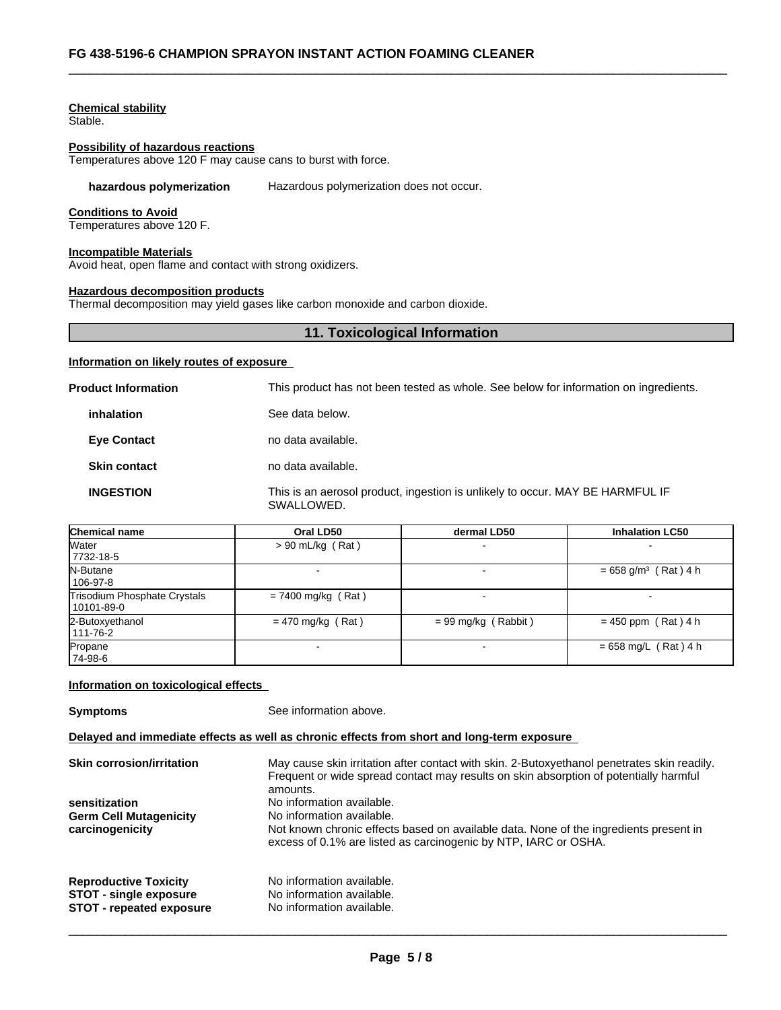#### **Chemical stability**

Stable.

## **Possibility of hazardous reactions**

Temperatures above 120 F may cause cans to burst with force.

#### **hazardous polymerization** Hazardous polymerization does not occur.

#### **Conditions to Avoid**

Temperatures above 120 F.

#### **Incompatible Materials**

Avoid heat, open flame and contact with strong oxidizers.

#### **Hazardous decomposition products**

Thermal decomposition may yield gases like carbon monoxide and carbon dioxide.

#### **11. Toxicological Information**

#### **Information on likely routes of exposure**

| <b>Product Information</b> | This product has not been tested as whole. See below for information on ingredients.        |
|----------------------------|---------------------------------------------------------------------------------------------|
| inhalation                 | See data below.                                                                             |
| <b>Eye Contact</b>         | no data available.                                                                          |
| <b>Skin contact</b>        | no data available.                                                                          |
| <b>INGESTION</b>           | This is an aerosol product, ingestion is unlikely to occur. MAY BE HARMFUL IF<br>SWALLOWED. |

| Chemical name                                | Oral LD50            | dermal LD50           | <b>Inhalation LC50</b>             |
|----------------------------------------------|----------------------|-----------------------|------------------------------------|
| <b>Water</b><br>7732-18-5                    | $> 90$ mL/kg (Rat)   |                       |                                    |
| N-Butane<br>  106-97-8                       |                      |                       | $= 658$ g/m <sup>3</sup> (Rat) 4 h |
| Trisodium Phosphate Crystals<br>  10101-89-0 | $= 7400$ mg/kg (Rat) |                       |                                    |
| 2-Butoxyethanol<br>  111-76-2                | $= 470$ mg/kg (Rat)  | $= 99$ mg/kg (Rabbit) | $= 450$ ppm (Rat) 4 h              |
| Propane<br> 74-98-6                          |                      |                       | $= 658$ mg/L (Rat) 4 h             |

#### **Information on toxicological effects**

**Symptoms** See information above.

#### **Delayed and immediate effects as well as chronic effects from short and long-term exposure**

| <b>Skin corrosion/irritation</b> | May cause skin irritation after contact with skin. 2-Butoxyethanol penetrates skin readily.<br>Frequent or wide spread contact may results on skin absorption of potentially harmful<br>amounts. |
|----------------------------------|--------------------------------------------------------------------------------------------------------------------------------------------------------------------------------------------------|
| sensitization                    | No information available.                                                                                                                                                                        |
| <b>Germ Cell Mutagenicity</b>    | No information available.                                                                                                                                                                        |
| carcinogenicity                  | Not known chronic effects based on available data. None of the ingredients present in<br>excess of 0.1% are listed as carcinogenic by NTP, IARC or OSHA.                                         |
| <b>Reproductive Toxicity</b>     | No information available.                                                                                                                                                                        |
| <b>STOT - single exposure</b>    | No information available.                                                                                                                                                                        |
| <b>STOT - repeated exposure</b>  | No information available.                                                                                                                                                                        |
|                                  |                                                                                                                                                                                                  |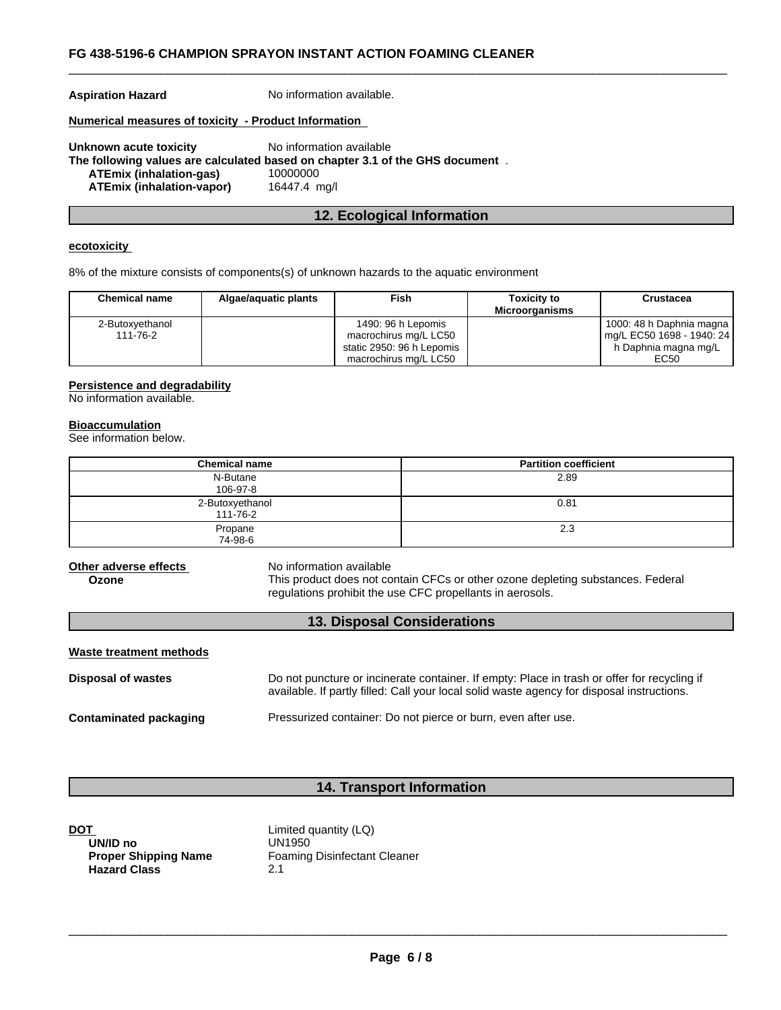**Aspiration Hazard** No information available.

#### **Numerical measures of toxicity - Product Information**

**Unknown acute toxicity** No information available **The following values are calculated based on chapter 3.1 of the GHS document** . **ATEmix (inhalation-gas)** 10000000 **ATEmix (inhalation-vapor)** 16447.4 mg/l

# **12. Ecological Information**

### **ecotoxicity**

8% of the mixture consists of components(s) of unknown hazards to the aquatic environment

| <b>Chemical name</b>        | Algae/aguatic plants | Fish                                                                                              | <b>Toxicity to</b><br><b>Microorganisms</b> | Crustacea                                                                                 |
|-----------------------------|----------------------|---------------------------------------------------------------------------------------------------|---------------------------------------------|-------------------------------------------------------------------------------------------|
| 2-Butoxyethanol<br>111-76-2 |                      | 1490: 96 h Lepomis<br>macrochirus mg/L LC50<br>static 2950: 96 h Lepomis<br>macrochirus mg/L LC50 |                                             | 1000: 48 h Daphnia magna<br>  mg/L EC50 1698 - 1940: 24  <br>h Daphnia magna mg/L<br>EC50 |

#### **Persistence and degradability**

No information available.

#### **Bioaccumulation**

See information below.

| <b>Chemical name</b>        | <b>Partition coefficient</b> |
|-----------------------------|------------------------------|
| N-Butane<br>106-97-8        | 2.89                         |
| 2-Butoxyethanol<br>111-76-2 | 0.81                         |
| Propane<br>74-98-6          | 2.3                          |

**Other adverse effects** No information available

**Ozone** This product does not contain CFCs or other ozone depleting substances. Federal regulations prohibit the use CFC propellants in aerosols.

#### **13. Disposal Considerations**

| Waste treatment methods |                                                                                                                                                                                           |
|-------------------------|-------------------------------------------------------------------------------------------------------------------------------------------------------------------------------------------|
| Disposal of wastes      | Do not puncture or incinerate container. If empty: Place in trash or offer for recycling if<br>available. If partly filled: Call your local solid waste agency for disposal instructions. |
| Contaminated packaging  | Pressurized container: Do not pierce or burn, even after use.                                                                                                                             |

## **14. Transport Information**

| DOT                         | Limited quantity (LQ)               |
|-----------------------------|-------------------------------------|
| UN/ID no                    | UN1950                              |
| <b>Proper Shipping Name</b> | <b>Foaming Disinfectant Cleaner</b> |
| <b>Hazard Class</b>         | 2.1                                 |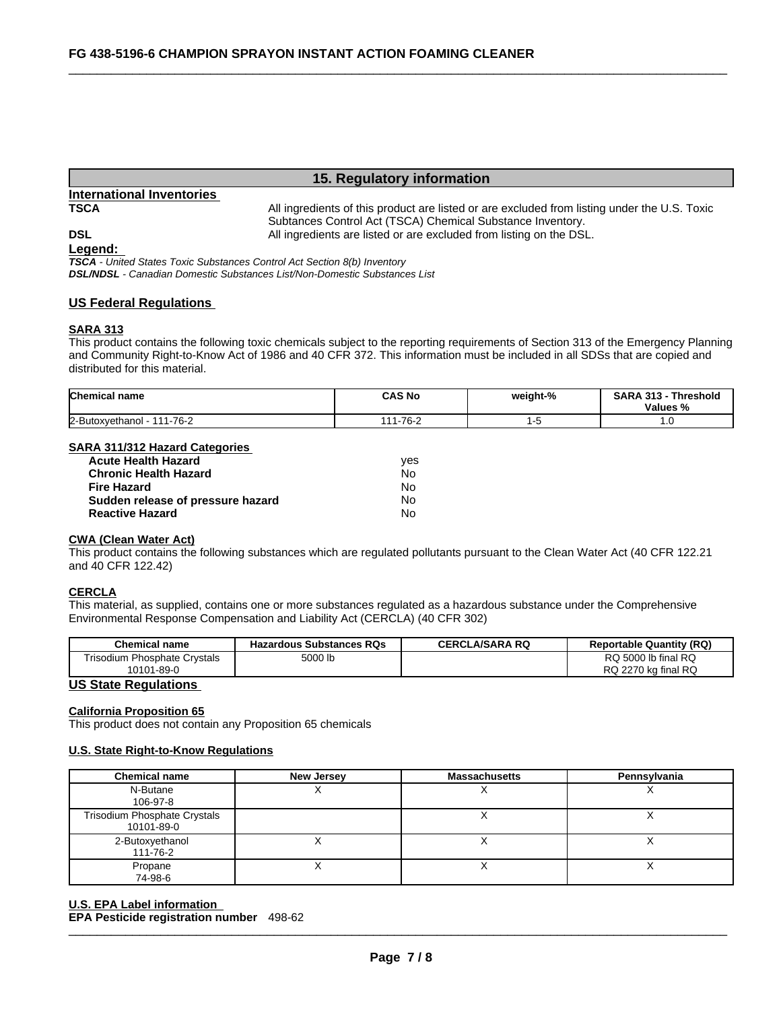# **15. Regulatory information**

# **International Inventories**

**TSCA** All ingredients of this product are listed or are excluded from listing under the U.S. Toxic Subtances Control Act (TSCA) Chemical Substance Inventory. **DSL COLL COLL COLL All ingredients are listed or are excluded from listing on the DSL.** 

**Legend:** 

*TSCA - United States Toxic Substances Control Act Section 8(b) Inventory DSL/NDSL - Canadian Domestic Substances List/Non-Domestic Substances List*

#### **US Federal Regulations**

#### **SARA 313**

This product contains the following toxic chemicals subject to the reporting requirements of Section 313 of the Emergency Planning and Community Right-to-Know Act of 1986 and 40 CFR 372. This information must be included in all SDSs that are copied and distributed for this material.

| <b>Chemical name</b>               | <b>CAS No</b>         | weight-% | <b>SARA 313</b><br>Threshold<br>Values<br>70 |
|------------------------------------|-----------------------|----------|----------------------------------------------|
| 111-76-2<br>2-Butoxyethanol<br>. . | $1 - 76 - 2$<br>4 A A |          | . . v                                        |

#### **SARA 311/312 Hazard Categories**

| <b>Acute Health Hazard</b>        | ves |
|-----------------------------------|-----|
| <b>Chronic Health Hazard</b>      | Nο  |
| Fire Hazard                       | N٥  |
| Sudden release of pressure hazard | No. |
| <b>Reactive Hazard</b>            | Nο  |

### **CWA (Clean Water Act)**

This product contains the following substances which are regulated pollutants pursuant to the Clean Water Act (40 CFR 122.21 and 40 CFR 122.42)

#### **CERCLA**

This material, as supplied, contains one or more substances regulated as a hazardous substance under the Comprehensive Environmental Response Compensation and Liability Act (CERCLA) (40 CFR 302)

| <b>Chemical name</b>                                         | <b>Hazardous Substances RQs</b> | <b>CERCLA/SARA RQ</b> | <b>Reportable Quantity (RQ)</b>            |
|--------------------------------------------------------------|---------------------------------|-----------------------|--------------------------------------------|
| <b>Trisodium Phosphate Crystals</b><br>$1 - 89 - 0$<br>10101 | 5000 lb                         |                       | RQ 5000 lb final RQ<br>RQ 2270 kg final RQ |
| <b>HO Ofers Deputations</b>                                  |                                 |                       |                                            |

#### **US State Regulations**

#### **California Proposition 65**

This product does not contain any Proposition 65 chemicals

#### **U.S. State Right-to-Know Regulations**

| <b>Chemical name</b>                       | <b>New Jersey</b> | <b>Massachusetts</b> | Pennsylvania |
|--------------------------------------------|-------------------|----------------------|--------------|
| N-Butane<br>106-97-8                       |                   |                      |              |
| Trisodium Phosphate Crystals<br>10101-89-0 |                   |                      | $\lambda$    |
| 2-Butoxyethanol<br>111-76-2                |                   |                      |              |
| Propane<br>74-98-6                         |                   |                      |              |

#### $\_$  ,  $\_$  ,  $\_$  ,  $\_$  ,  $\_$  ,  $\_$  ,  $\_$  ,  $\_$  ,  $\_$  ,  $\_$  ,  $\_$  ,  $\_$  ,  $\_$  ,  $\_$  ,  $\_$  ,  $\_$  ,  $\_$  ,  $\_$  ,  $\_$  ,  $\_$  ,  $\_$  ,  $\_$  ,  $\_$  ,  $\_$  ,  $\_$  ,  $\_$  ,  $\_$  ,  $\_$  ,  $\_$  ,  $\_$  ,  $\_$  ,  $\_$  ,  $\_$  ,  $\_$  ,  $\_$  ,  $\_$  ,  $\_$  , **U.S. EPA Label information EPA Pesticide registration number** 498-62